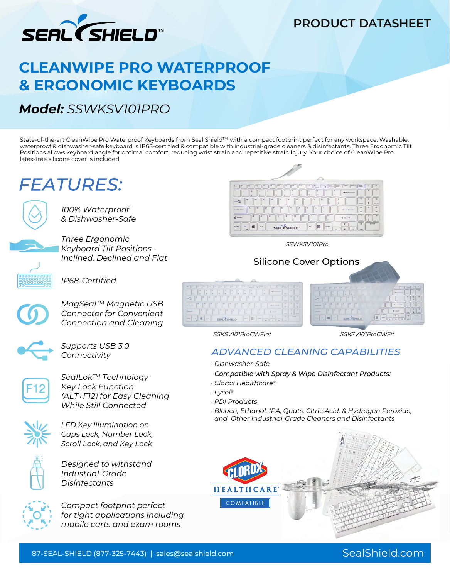

## **PRODUCT DATASHEET**

# **CLEANWIPE PRO WATERPROOF & ERGONOMIC KEYBOARDS**

## *Model: SSWKSV101PRO*

State-of-the-art CleanWipe Pro Waterproof Keyboards from Seal Shield™ with a compact footprint perfect for any workspace. Washable, waterproof & dishwasher-safe keyboard is IP68-certified & compatible with industrial-grade cleaners & disinfectants. Three Ergonomic Tilt Positions allows keyboard angle for optimal comfort, reducing wrist strain and repetitive strain injury. Your choice of CleanWipe Pro latex-free silicone cover is included.

# **FEATURES:**



*100% Waterproof & Dishwasher-Safe*

*Three Ergonomic Keyboard Tilt Positions - Inclined, Declined and Flat*

 $\Box$ 



*IP68-Certified*

**Connection and Cleaning and Cleaning and Cleaning and Cleaning**  $\frac{SC(C_1, C_2)C_1}{2}$ *MagSeal™ Magnetic USB Connector for Convenient* 



*Supports USB 3.0 Connectivity*



*SealLok™ Technology Key Lock Function (ALT+F12) for Easy Cleaning While Still Connected*



*LED Key Illumination on Caps Lock, Number Lock, Scroll Lock, and Key Lock*



*Designed to withstand Industrial-Grade Disinfectants*



*Compact footprint perfect for tight applications including mobile carts and exam rooms*



 *SSWKSV101Pro*



*SSKSV101ProCWFlat SSKSV101ProCWFit*

### *ADVANCED CLEANING CAPABILITIES*

*· Dishwasher-Safe* 

 *Compatible with Spray & Wipe Disinfectant Products:*

- *· Clorox Healthcare®*
- *· Lysol®*

**SERL (SHELD)** 

- *· PDI Products*
- *· Bleach, Ethanol, IPA, Quats, Citric Acid, & Hydrogen Peroxide, and Other Industrial-Grade Cleaners and Disinfectants*



### 87-SEAL-SHIELD (877-325-7443) | sales@sealshield.com SealShield.com